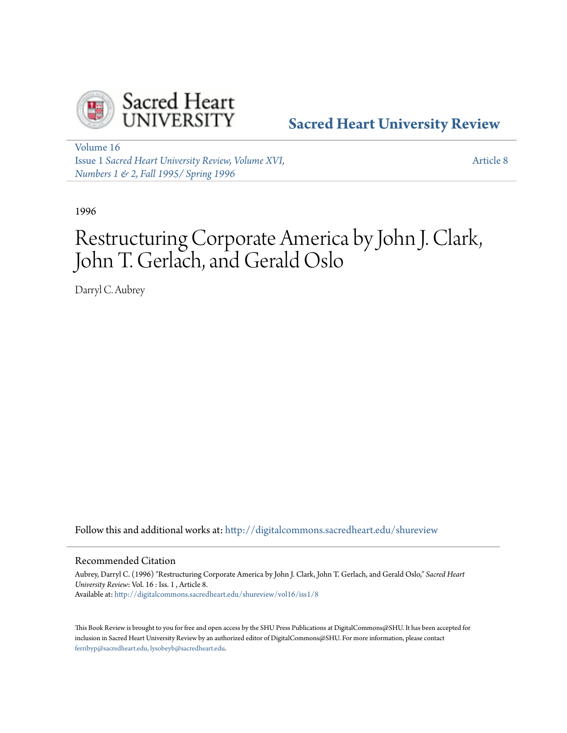

# **[Sacred Heart University Review](http://digitalcommons.sacredheart.edu/shureview?utm_source=digitalcommons.sacredheart.edu%2Fshureview%2Fvol16%2Fiss1%2F8&utm_medium=PDF&utm_campaign=PDFCoverPages)**

[Volume 16](http://digitalcommons.sacredheart.edu/shureview/vol16?utm_source=digitalcommons.sacredheart.edu%2Fshureview%2Fvol16%2Fiss1%2F8&utm_medium=PDF&utm_campaign=PDFCoverPages) Issue 1 *[Sacred Heart University Review, Volume XVI,](http://digitalcommons.sacredheart.edu/shureview/vol16/iss1?utm_source=digitalcommons.sacredheart.edu%2Fshureview%2Fvol16%2Fiss1%2F8&utm_medium=PDF&utm_campaign=PDFCoverPages) [Numbers 1 & 2, Fall 1995/ Spring 1996](http://digitalcommons.sacredheart.edu/shureview/vol16/iss1?utm_source=digitalcommons.sacredheart.edu%2Fshureview%2Fvol16%2Fiss1%2F8&utm_medium=PDF&utm_campaign=PDFCoverPages)*

[Article 8](http://digitalcommons.sacredheart.edu/shureview/vol16/iss1/8?utm_source=digitalcommons.sacredheart.edu%2Fshureview%2Fvol16%2Fiss1%2F8&utm_medium=PDF&utm_campaign=PDFCoverPages)

1996

# Restructuring Corporate America by John J. Clark, John T. Gerlach, and Gerald Oslo

Darryl C. Aubrey

Follow this and additional works at: [http://digitalcommons.sacredheart.edu/shureview](http://digitalcommons.sacredheart.edu/shureview?utm_source=digitalcommons.sacredheart.edu%2Fshureview%2Fvol16%2Fiss1%2F8&utm_medium=PDF&utm_campaign=PDFCoverPages)

## Recommended Citation

Aubrey, Darryl C. (1996) "Restructuring Corporate America by John J. Clark, John T. Gerlach, and Gerald Oslo," *Sacred Heart University Review*: Vol. 16 : Iss. 1 , Article 8. Available at: [http://digitalcommons.sacredheart.edu/shureview/vol16/iss1/8](http://digitalcommons.sacredheart.edu/shureview/vol16/iss1/8?utm_source=digitalcommons.sacredheart.edu%2Fshureview%2Fvol16%2Fiss1%2F8&utm_medium=PDF&utm_campaign=PDFCoverPages)

This Book Review is brought to you for free and open access by the SHU Press Publications at DigitalCommons@SHU. It has been accepted for inclusion in Sacred Heart University Review by an authorized editor of DigitalCommons@SHU. For more information, please contact [ferribyp@sacredheart.edu, lysobeyb@sacredheart.edu.](mailto:ferribyp@sacredheart.edu,%20lysobeyb@sacredheart.edu)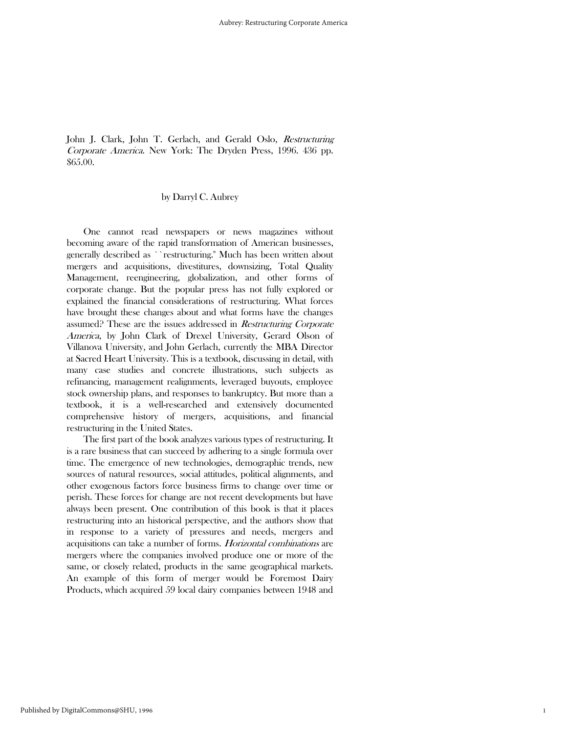John J. Clark, John T. Gerlach, and Gerald Oslo, Restructuring Corporate America. New York: The Dryden Press, 1996. 436 pp. \$65.00.

### by Darryl C. Aubrey

 One cannot read newspapers or news magazines without becoming aware of the rapid transformation of American businesses, generally described as ``restructuring.'' Much has been written about mergers and acquisitions, divestitures, downsizing, Total Quality Management, reengineering, globalization, and other forms of corporate change. But the popular press has not fully explored or explained the financial considerations of restructuring. What forces have brought these changes about and what forms have the changes assumed? These are the issues addressed in Restructuring Corporate America, by John Clark of Drexel University, Gerard Olson of Villanova University, and John Gerlach, currently the MBA Director at Sacred Heart University. This is a textbook, discussing in detail, with many case studies and concrete illustrations, such subjects as refinancing, management realignments, leveraged buyouts, employee stock ownership plans, and responses to bankruptcy. But more than a textbook, it is a well-researched and extensively documented comprehensive history of mergers, acquisitions, and financial restructuring in the United States.

 The first part of the book analyzes various types of restructuring. It is a rare business that can succeed by adhering to a single formula over time. The emergence of new technologies, demographic trends, new sources of natural resources, social attitudes, political alignments, and other exogenous factors force business firms to change over time or perish. These forces for change are not recent developments but have always been present. One contribution of this book is that it places restructuring into an historical perspective, and the authors show that in response to a variety of pressures and needs, mergers and acquisitions can take a number of forms. Horizontal combinations are mergers where the companies involved produce one or more of the same, or closely related, products in the same geographical markets. An example of this form of merger would be Foremost Dairy Products, which acquired 59 local dairy companies between 1948 and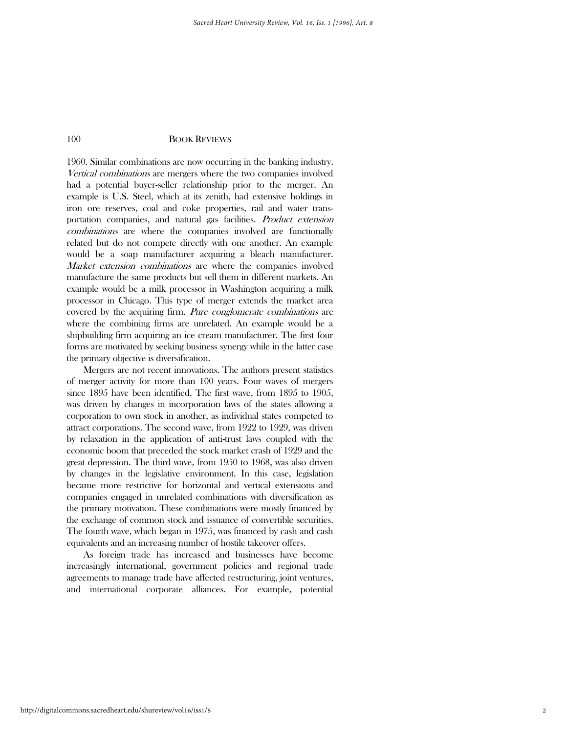1960. Similar combinations are now occurring in the banking industry. Vertical combinations are mergers where the two companies involved had a potential buyer-seller relationship prior to the merger. An example is U.S. Steel, which at its zenith, had extensive holdings in iron ore reserves, coal and coke properties, rail and water transportation companies, and natural gas facilities. Product extension combinations are where the companies involved are functionally related but do not compete directly with one another. An example would be a soap manufacturer acquiring a bleach manufacturer. Market extension combinations are where the companies involved manufacture the same products but sell them in different markets. An example would be a milk processor in Washington acquiring a milk processor in Chicago. This type of merger extends the market area covered by the acquiring firm. Pure conglomerate combinations are where the combining firms are unrelated. An example would be a shipbuilding firm acquiring an ice cream manufacturer. The first four forms are motivated by seeking business synergy while in the latter case the primary objective is diversification.

 Mergers are not recent innovations. The authors present statistics of merger activity for more than 100 years. Four waves of mergers since 1895 have been identified. The first wave, from 1895 to 1905, was driven by changes in incorporation laws of the states allowing a corporation to own stock in another, as individual states competed to attract corporations. The second wave, from 1922 to 1929, was driven by relaxation in the application of anti-trust laws coupled with the economic boom that preceded the stock market crash of 1929 and the great depression. The third wave, from 1950 to 1968, was also driven by changes in the legislative environment. In this case, legislation became more restrictive for horizontal and vertical extensions and companies engaged in unrelated combinations with diversification as the primary motivation. These combinations were mostly financed by the exchange of common stock and issuance of convertible securities. The fourth wave, which began in 1975, was financed by cash and cash equivalents and an increasing number of hostile takeover offers.

 As foreign trade has increased and businesses have become increasingly international, government policies and regional trade agreements to manage trade have affected restructuring, joint ventures, and international corporate alliances. For example, potential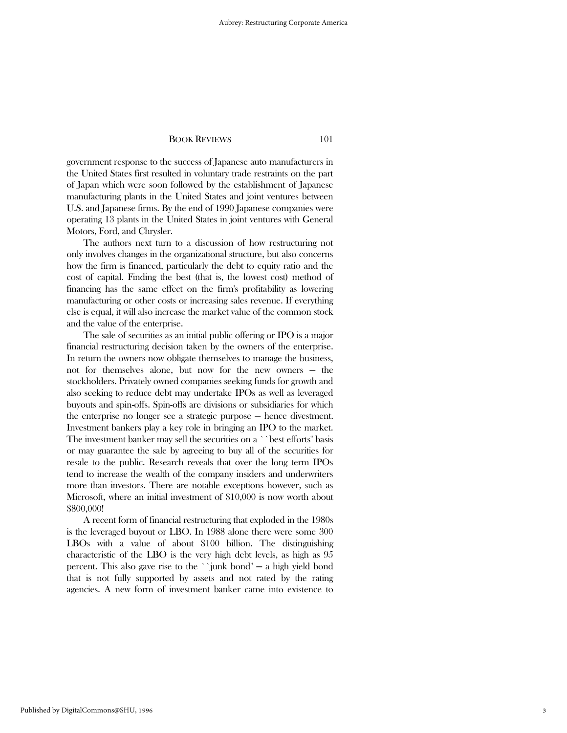government response to the success of Japanese auto manufacturers in the United States first resulted in voluntary trade restraints on the part of Japan which were soon followed by the establishment of Japanese manufacturing plants in the United States and joint ventures between U.S. and Japanese firms. By the end of 1990 Japanese companies were operating 13 plants in the United States in joint ventures with General Motors, Ford, and Chrysler.

 The authors next turn to a discussion of how restructuring not only involves changes in the organizational structure, but also concerns how the firm is financed, particularly the debt to equity ratio and the cost of capital. Finding the best (that is, the lowest cost) method of financing has the same effect on the firm's profitability as lowering manufacturing or other costs or increasing sales revenue. If everything else is equal, it will also increase the market value of the common stock and the value of the enterprise.

 The sale of securities as an initial public offering or IPO is a major financial restructuring decision taken by the owners of the enterprise. In return the owners now obligate themselves to manage the business, not for themselves alone, but now for the new owners — the stockholders. Privately owned companies seeking funds for growth and also seeking to reduce debt may undertake IPOs as well as leveraged buyouts and spin-offs. Spin-offs are divisions or subsidiaries for which the enterprise no longer see a strategic purpose ─ hence divestment. Investment bankers play a key role in bringing an IPO to the market. The investment banker may sell the securities on a ``best efforts'' basis or may guarantee the sale by agreeing to buy all of the securities for resale to the public. Research reveals that over the long term IPOs tend to increase the wealth of the company insiders and underwriters more than investors. There are notable exceptions however, such as Microsoft, where an initial investment of \$10,000 is now worth about \$800,000!

 A recent form of financial restructuring that exploded in the 1980s is the leveraged buyout or LBO. In 1988 alone there were some 300 LBOs with a value of about \$100 billion. The distinguishing characteristic of the LBO is the very high debt levels, as high as 95 percent. This also gave rise to the ``junk bond"  $-$  a high yield bond that is not fully supported by assets and not rated by the rating agencies. A new form of investment banker came into existence to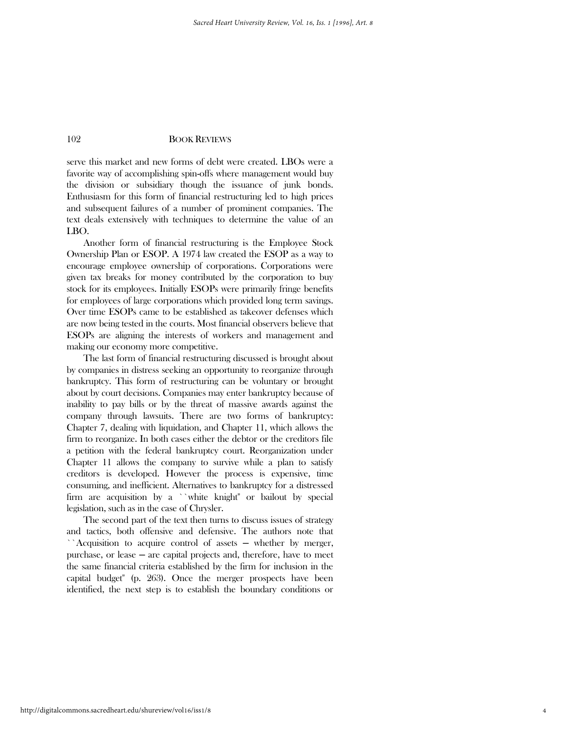serve this market and new forms of debt were created. LBOs were a favorite way of accomplishing spin-offs where management would buy the division or subsidiary though the issuance of junk bonds. Enthusiasm for this form of financial restructuring led to high prices and subsequent failures of a number of prominent companies. The text deals extensively with techniques to determine the value of an LBO.

 Another form of financial restructuring is the Employee Stock Ownership Plan or ESOP. A 1974 law created the ESOP as a way to encourage employee ownership of corporations. Corporations were given tax breaks for money contributed by the corporation to buy stock for its employees. Initially ESOPs were primarily fringe benefits for employees of large corporations which provided long term savings. Over time ESOPs came to be established as takeover defenses which are now being tested in the courts. Most financial observers believe that ESOPs are aligning the interests of workers and management and making our economy more competitive.

 The last form of financial restructuring discussed is brought about by companies in distress seeking an opportunity to reorganize through bankruptcy. This form of restructuring can be voluntary or brought about by court decisions. Companies may enter bankruptcy because of inability to pay bills or by the threat of massive awards against the company through lawsuits. There are two forms of bankruptcy: Chapter 7, dealing with liquidation, and Chapter 11, which allows the firm to reorganize. In both cases either the debtor or the creditors file a petition with the federal bankruptcy court. Reorganization under Chapter 11 allows the company to survive while a plan to satisfy creditors is developed. However the process is expensive, time consuming, and inefficient. Alternatives to bankruptcy for a distressed firm are acquisition by a ``white knight'' or bailout by special legislation, such as in the case of Chrysler.

 The second part of the text then turns to discuss issues of strategy and tactics, both offensive and defensive. The authors note that ``Acquisition to acquire control of assets — whether by merger, purchase, or lease ─ are capital projects and, therefore, have to meet the same financial criteria established by the firm for inclusion in the capital budget'' (p. 263). Once the merger prospects have been identified, the next step is to establish the boundary conditions or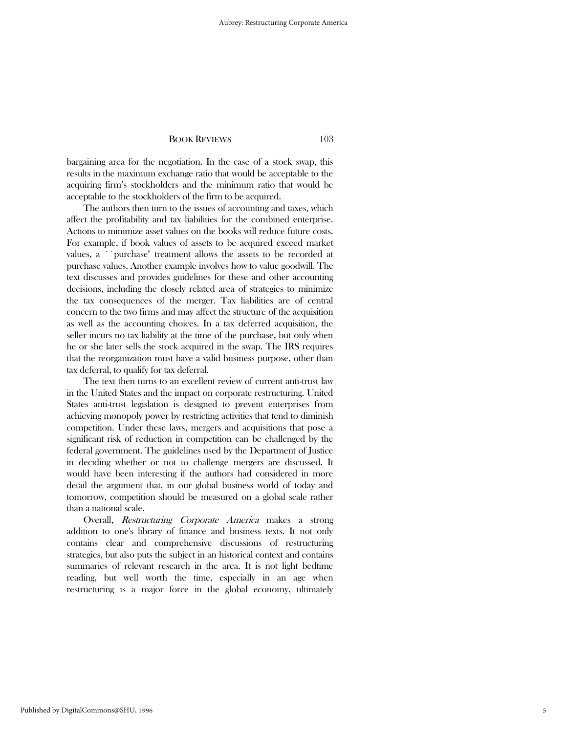bargaining area for the negotiation. In the case of a stock swap, this results in the maximum exchange ratio that would be acceptable to the acquiring firm's stockholders and the minimum ratio that would be acceptable to the stockholders of the firm to be acquired.

 The authors then turn to the issues of accounting and taxes, which affect the profitability and tax liabilities for the combined enterprise. Actions to minimize asset values on the books will reduce future costs. For example, if book values of assets to be acquired exceed market values, a ``purchase'' treatment allows the assets to be recorded at purchase values. Another example involves how to value goodwill. The text discusses and provides guidelines for these and other accounting decisions, including the closely related area of strategies to minimize the tax consequences of the merger. Tax liabilities are of central concern to the two firms and may affect the structure of the acquisition as well as the accounting choices. In a tax deferred acquisition, the seller incurs no tax liability at the time of the purchase, but only when he or she later sells the stock acquired in the swap. The IRS requires that the reorganization must have a valid business purpose, other than tax deferral, to qualify for tax deferral.

 The text then turns to an excellent review of current anti-trust law in the United States and the impact on corporate restructuring. United States anti-trust legislation is designed to prevent enterprises from achieving monopoly power by restricting activities that tend to diminish competition. Under these laws, mergers and acquisitions that pose a significant risk of reduction in competition can be challenged by the federal government. The guidelines used by the Department of Justice in deciding whether or not to challenge mergers are discussed. It would have been interesting if the authors had considered in more detail the argument that, in our global business world of today and tomorrow, competition should be measured on a global scale rather than a national scale.

 Overall, Restructuring Corporate America makes a strong addition to one's library of finance and business texts. It not only contains clear and comprehensive discussions of restructuring strategies, but also puts the subject in an historical context and contains summaries of relevant research in the area. It is not light bedtime reading, but well worth the time, especially in an age when restructuring is a major force in the global economy, ultimately